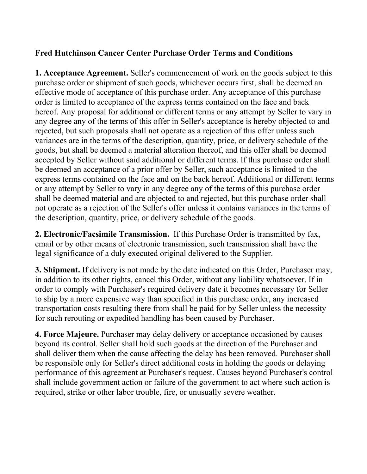## **Fred Hutchinson Cancer Center Purchase Order Terms and Conditions**

**1. Acceptance Agreement.** Seller's commencement of work on the goods subject to this purchase order or shipment of such goods, whichever occurs first, shall be deemed an effective mode of acceptance of this purchase order. Any acceptance of this purchase order is limited to acceptance of the express terms contained on the face and back hereof. Any proposal for additional or different terms or any attempt by Seller to vary in any degree any of the terms of this offer in Seller's acceptance is hereby objected to and rejected, but such proposals shall not operate as a rejection of this offer unless such variances are in the terms of the description, quantity, price, or delivery schedule of the goods, but shall be deemed a material alteration thereof, and this offer shall be deemed accepted by Seller without said additional or different terms. If this purchase order shall be deemed an acceptance of a prior offer by Seller, such acceptance is limited to the express terms contained on the face and on the back hereof. Additional or different terms or any attempt by Seller to vary in any degree any of the terms of this purchase order shall be deemed material and are objected to and rejected, but this purchase order shall not operate as a rejection of the Seller's offer unless it contains variances in the terms of the description, quantity, price, or delivery schedule of the goods.

**2. Electronic/Facsimile Transmission.** If this Purchase Order is transmitted by fax, email or by other means of electronic transmission, such transmission shall have the legal significance of a duly executed original delivered to the Supplier.

**3. Shipment.** If delivery is not made by the date indicated on this Order, Purchaser may, in addition to its other rights, cancel this Order, without any liability whatsoever. If in order to comply with Purchaser's required delivery date it becomes necessary for Seller to ship by a more expensive way than specified in this purchase order, any increased transportation costs resulting there from shall be paid for by Seller unless the necessity for such rerouting or expedited handling has been caused by Purchaser.

**4. Force Majeure.** Purchaser may delay delivery or acceptance occasioned by causes beyond its control. Seller shall hold such goods at the direction of the Purchaser and shall deliver them when the cause affecting the delay has been removed. Purchaser shall be responsible only for Seller's direct additional costs in holding the goods or delaying performance of this agreement at Purchaser's request. Causes beyond Purchaser's control shall include government action or failure of the government to act where such action is required, strike or other labor trouble, fire, or unusually severe weather.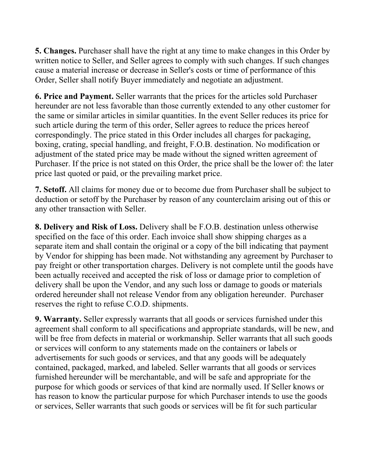**5. Changes.** Purchaser shall have the right at any time to make changes in this Order by written notice to Seller, and Seller agrees to comply with such changes. If such changes cause a material increase or decrease in Seller's costs or time of performance of this Order, Seller shall notify Buyer immediately and negotiate an adjustment.

**6. Price and Payment.** Seller warrants that the prices for the articles sold Purchaser hereunder are not less favorable than those currently extended to any other customer for the same or similar articles in similar quantities. In the event Seller reduces its price for such article during the term of this order, Seller agrees to reduce the prices hereof correspondingly. The price stated in this Order includes all charges for packaging, boxing, crating, special handling, and freight, F.O.B. destination. No modification or adjustment of the stated price may be made without the signed written agreement of Purchaser. If the price is not stated on this Order, the price shall be the lower of: the later price last quoted or paid, or the prevailing market price.

**7. Setoff.** All claims for money due or to become due from Purchaser shall be subject to deduction or setoff by the Purchaser by reason of any counterclaim arising out of this or any other transaction with Seller.

**8. Delivery and Risk of Loss.** Delivery shall be F.O.B. destination unless otherwise specified on the face of this order. Each invoice shall show shipping charges as a separate item and shall contain the original or a copy of the bill indicating that payment by Vendor for shipping has been made. Not withstanding any agreement by Purchaser to pay freight or other transportation charges. Delivery is not complete until the goods have been actually received and accepted the risk of loss or damage prior to completion of delivery shall be upon the Vendor, and any such loss or damage to goods or materials ordered hereunder shall not release Vendor from any obligation hereunder. Purchaser reserves the right to refuse C.O.D. shipments.

**9. Warranty.** Seller expressly warrants that all goods or services furnished under this agreement shall conform to all specifications and appropriate standards, will be new, and will be free from defects in material or workmanship. Seller warrants that all such goods or services will conform to any statements made on the containers or labels or advertisements for such goods or services, and that any goods will be adequately contained, packaged, marked, and labeled. Seller warrants that all goods or services furnished hereunder will be merchantable, and will be safe and appropriate for the purpose for which goods or services of that kind are normally used. If Seller knows or has reason to know the particular purpose for which Purchaser intends to use the goods or services, Seller warrants that such goods or services will be fit for such particular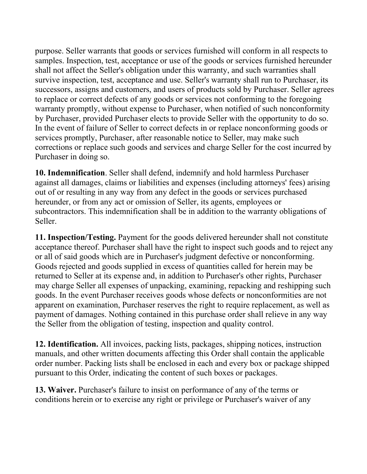purpose. Seller warrants that goods or services furnished will conform in all respects to samples. Inspection, test, acceptance or use of the goods or services furnished hereunder shall not affect the Seller's obligation under this warranty, and such warranties shall survive inspection, test, acceptance and use. Seller's warranty shall run to Purchaser, its successors, assigns and customers, and users of products sold by Purchaser. Seller agrees to replace or correct defects of any goods or services not conforming to the foregoing warranty promptly, without expense to Purchaser, when notified of such nonconformity by Purchaser, provided Purchaser elects to provide Seller with the opportunity to do so. In the event of failure of Seller to correct defects in or replace nonconforming goods or services promptly, Purchaser, after reasonable notice to Seller, may make such corrections or replace such goods and services and charge Seller for the cost incurred by Purchaser in doing so.

**10. Indemnification**. Seller shall defend, indemnify and hold harmless Purchaser against all damages, claims or liabilities and expenses (including attorneys' fees) arising out of or resulting in any way from any defect in the goods or services purchased hereunder, or from any act or omission of Seller, its agents, employees or subcontractors. This indemnification shall be in addition to the warranty obligations of Seller.

**11. Inspection/Testing.** Payment for the goods delivered hereunder shall not constitute acceptance thereof. Purchaser shall have the right to inspect such goods and to reject any or all of said goods which are in Purchaser's judgment defective or nonconforming. Goods rejected and goods supplied in excess of quantities called for herein may be returned to Seller at its expense and, in addition to Purchaser's other rights, Purchaser may charge Seller all expenses of unpacking, examining, repacking and reshipping such goods. In the event Purchaser receives goods whose defects or nonconformities are not apparent on examination, Purchaser reserves the right to require replacement, as well as payment of damages. Nothing contained in this purchase order shall relieve in any way the Seller from the obligation of testing, inspection and quality control.

**12. Identification.** All invoices, packing lists, packages, shipping notices, instruction manuals, and other written documents affecting this Order shall contain the applicable order number. Packing lists shall be enclosed in each and every box or package shipped pursuant to this Order, indicating the content of such boxes or packages.

**13. Waiver.** Purchaser's failure to insist on performance of any of the terms or conditions herein or to exercise any right or privilege or Purchaser's waiver of any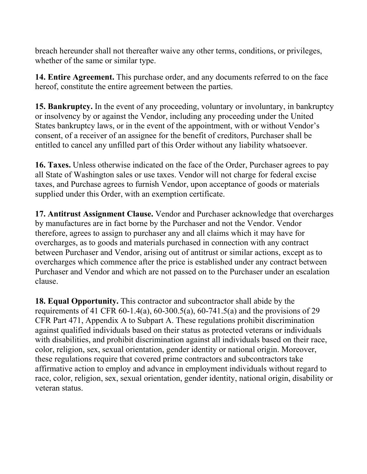breach hereunder shall not thereafter waive any other terms, conditions, or privileges, whether of the same or similar type.

**14. Entire Agreement.** This purchase order, and any documents referred to on the face hereof, constitute the entire agreement between the parties.

**15. Bankruptcy.** In the event of any proceeding, voluntary or involuntary, in bankruptcy or insolvency by or against the Vendor, including any proceeding under the United States bankruptcy laws, or in the event of the appointment, with or without Vendor's consent, of a receiver of an assignee for the benefit of creditors, Purchaser shall be entitled to cancel any unfilled part of this Order without any liability whatsoever.

**16. Taxes.** Unless otherwise indicated on the face of the Order, Purchaser agrees to pay all State of Washington sales or use taxes. Vendor will not charge for federal excise taxes, and Purchase agrees to furnish Vendor, upon acceptance of goods or materials supplied under this Order, with an exemption certificate.

**17. Antitrust Assignment Clause.** Vendor and Purchaser acknowledge that overcharges by manufactures are in fact borne by the Purchaser and not the Vendor. Vendor therefore, agrees to assign to purchaser any and all claims which it may have for overcharges, as to goods and materials purchased in connection with any contract between Purchaser and Vendor, arising out of antitrust or similar actions, except as to overcharges which commence after the price is established under any contract between Purchaser and Vendor and which are not passed on to the Purchaser under an escalation clause.

**18. Equal Opportunity.** This contractor and subcontractor shall abide by the requirements of 41 CFR 60-1.4(a), 60-300.5(a), 60-741.5(a) and the provisions of 29 CFR Part 471, Appendix A to Subpart A. These regulations prohibit discrimination against qualified individuals based on their status as protected veterans or individuals with disabilities, and prohibit discrimination against all individuals based on their race, color, religion, sex, sexual orientation, gender identity or national origin. Moreover, these regulations require that covered prime contractors and subcontractors take affirmative action to employ and advance in employment individuals without regard to race, color, religion, sex, sexual orientation, gender identity, national origin, disability or veteran status.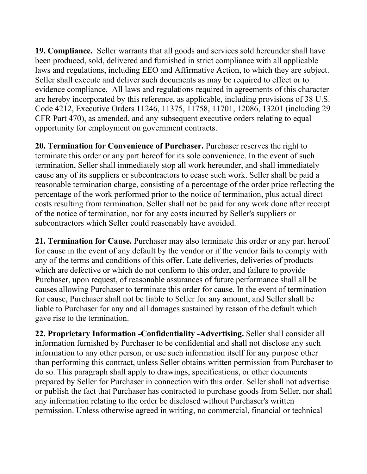**19. Compliance.** Seller warrants that all goods and services sold hereunder shall have been produced, sold, delivered and furnished in strict compliance with all applicable laws and regulations, including EEO and Affirmative Action, to which they are subject. Seller shall execute and deliver such documents as may be required to effect or to evidence compliance. All laws and regulations required in agreements of this character are hereby incorporated by this reference, as applicable, including provisions of 38 U.S. Code 4212, Executive Orders 11246, 11375, 11758, 11701, 12086, 13201 (including 29 CFR Part 470), as amended, and any subsequent executive orders relating to equal opportunity for employment on government contracts.

**20. Termination for Convenience of Purchaser.** Purchaser reserves the right to terminate this order or any part hereof for its sole convenience. In the event of such termination, Seller shall immediately stop all work hereunder, and shall immediately cause any of its suppliers or subcontractors to cease such work. Seller shall be paid a reasonable termination charge, consisting of a percentage of the order price reflecting the percentage of the work performed prior to the notice of termination, plus actual direct costs resulting from termination. Seller shall not be paid for any work done after receipt of the notice of termination, nor for any costs incurred by Seller's suppliers or subcontractors which Seller could reasonably have avoided.

**21. Termination for Cause.** Purchaser may also terminate this order or any part hereof for cause in the event of any default by the vendor or if the vendor fails to comply with any of the terms and conditions of this offer. Late deliveries, deliveries of products which are defective or which do not conform to this order, and failure to provide Purchaser, upon request, of reasonable assurances of future performance shall all be causes allowing Purchaser to terminate this order for cause. In the event of termination for cause, Purchaser shall not be liable to Seller for any amount, and Seller shall be liable to Purchaser for any and all damages sustained by reason of the default which gave rise to the termination.

**22. Proprietary Information -Confidentiality -Advertising.** Seller shall consider all information furnished by Purchaser to be confidential and shall not disclose any such information to any other person, or use such information itself for any purpose other than performing this contract, unless Seller obtains written permission from Purchaser to do so. This paragraph shall apply to drawings, specifications, or other documents prepared by Seller for Purchaser in connection with this order. Seller shall not advertise or publish the fact that Purchaser has contracted to purchase goods from Seller, nor shall any information relating to the order be disclosed without Purchaser's written permission. Unless otherwise agreed in writing, no commercial, financial or technical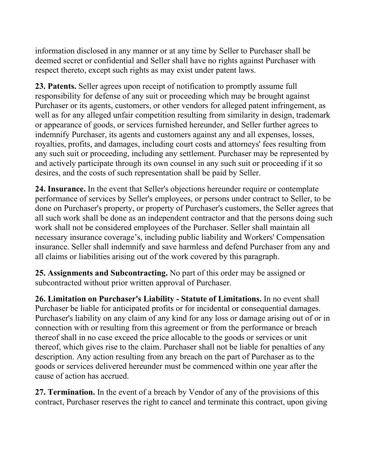information disclosed in any manner or at any time by Seller to Purchaser shall be deemed secret or confidential and Seller shall have no rights against Purchaser with respect thereto, except such rights as may exist under patent laws.

**23. Patents.** Seller agrees upon receipt of notification to promptly assume full responsibility for defense of any suit or proceeding which may be brought against Purchaser or its agents, customers, or other vendors for alleged patent infringement, as well as for any alleged unfair competition resulting from similarity in design, trademark or appearance of goods, or services furnished hereunder, and Seller further agrees to indemnify Purchaser, its agents and customers against any and all expenses, losses, royalties, profits, and damages, including court costs and attorneys' fees resulting from any such suit or proceeding, including any settlement. Purchaser may be represented by and actively participate through its own counsel in any such suit or proceeding if it so desires, and the costs of such representation shall be paid by Seller.

**24. Insurance.** In the event that Seller's objections hereunder require or contemplate performance of services by Seller's employees, or persons under contract to Seller, to be done on Purchaser's property, or property of Purchaser's customers, the Seller agrees that all such work shall be done as an independent contractor and that the persons doing such work shall not be considered employees of the Purchaser. Seller shall maintain all necessary insurance coverage's, including public liability and Workers' Compensation insurance. Seller shall indemnify and save harmless and defend Purchaser from any and all claims or liabilities arising out of the work covered by this paragraph.

**25. Assignments and Subcontracting.** No part of this order may be assigned or subcontracted without prior written approval of Purchaser.

**26. Limitation on Purchaser's Liability - Statute of Limitations.** In no event shall Purchaser be liable for anticipated profits or for incidental or consequential damages. Purchaser's liability on any claim of any kind for any loss or damage arising out of or in connection with or resulting from this agreement or from the performance or breach thereof shall in no case exceed the price allocable to the goods or services or unit thereof, which gives rise to the claim. Purchaser shall not be liable for penalties of any description. Any action resulting from any breach on the part of Purchaser as to the goods or services delivered hereunder must be commenced within one year after the cause of action has accrued.

**27. Termination.** In the event of a breach by Vendor of any of the provisions of this contract, Purchaser reserves the right to cancel and terminate this contract, upon giving